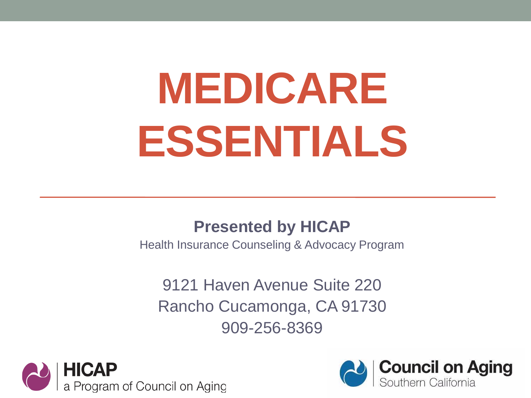# **MEDICARE ESSENTIALS**

#### **Presented by HICAP**

Health Insurance Counseling & Advocacy Program

9121 Haven Avenue Suite 220 Rancho Cucamonga, CA 91730 909-256-8369



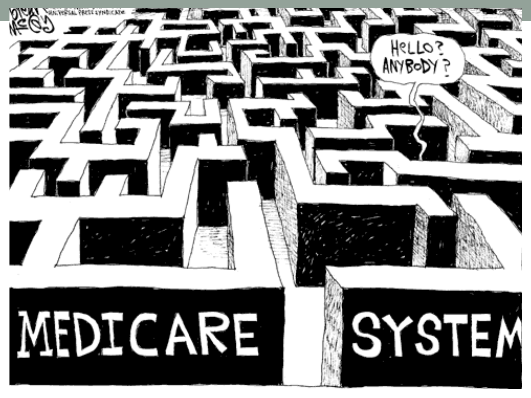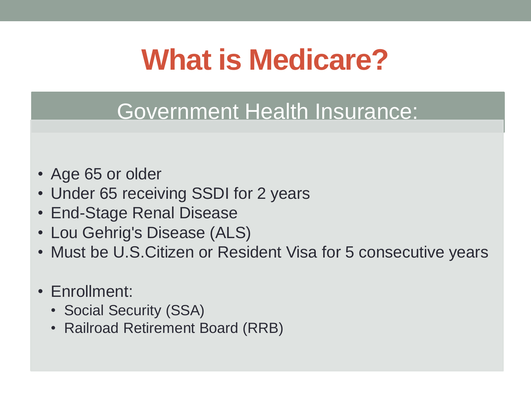# **What is Medicare?**

#### Government Health Insurance:

- Age 65 or older
- Under 65 receiving SSDI for 2 years
- End-Stage Renal Disease
- Lou Gehrig's Disease (ALS)
- Must be U.S.Citizen or Resident Visa for 5 consecutive years
- Enrollment:
	- Social Security (SSA)
	- Railroad Retirement Board (RRB)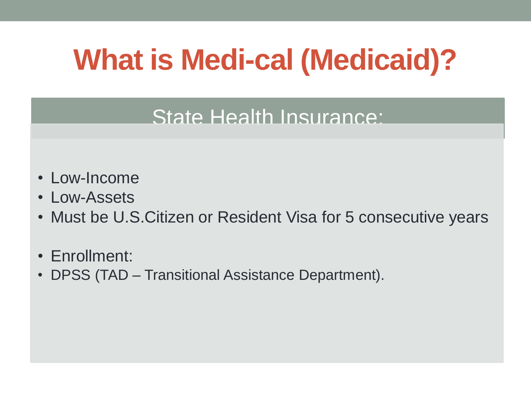# **What is Medi-cal (Medicaid)?**

#### State Health Insurance:

- Low-Income
- Low-Assets
- Must be U.S.Citizen or Resident Visa for 5 consecutive years
- Enrollment:
- DPSS (TAD Transitional Assistance Department).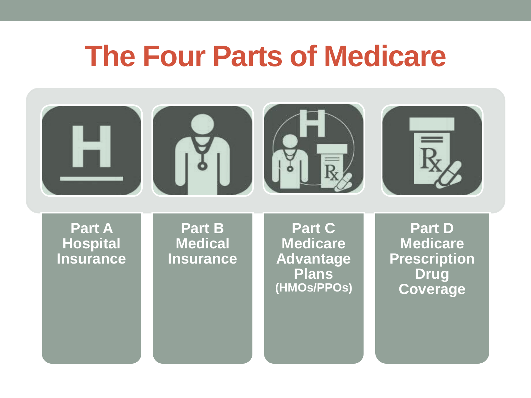### **The Four Parts of Medicare**

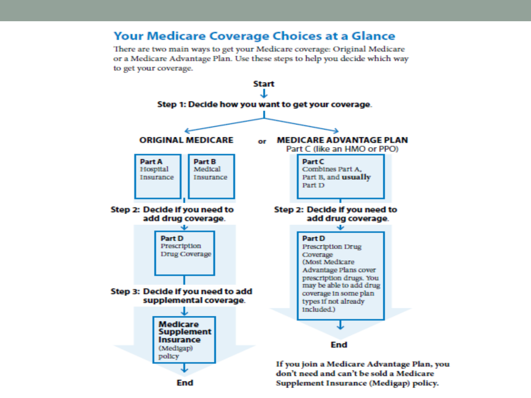#### **Your Medicare Coverage Choices at a Glance**

There are two main ways to get your Medicare coverage: Original Medicare or a Medicare Advantage Plan. Use these steps to help you decide which way to get your coverage.

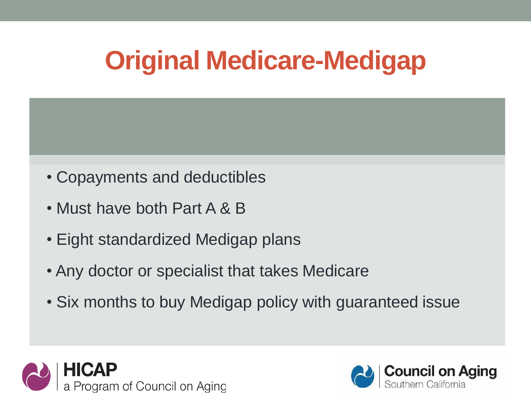## **Original Medicare-Medigap**

- Copayments and deductibles
- Must have both Part A & B
- Eight standardized Medigap plans
- Any doctor or specialist that takes Medicare
- Six months to buy Medigap policy with guaranteed issue



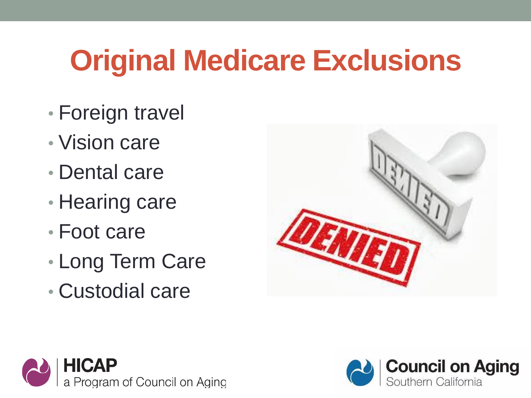# **Original Medicare Exclusions**

- Foreign travel
- Vision care
- Dental care
- Hearing care
- Foot care
- Long Term Care
- Custodial care





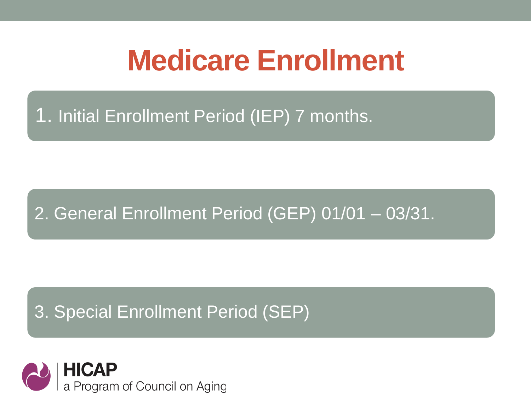## **Medicare Enrollment**

#### 1. Initial Enrollment Period (IEP) 7 months.

#### 2. General Enrollment Period (GEP) 01/01 – 03/31.

#### 3. Special Enrollment Period (SEP)

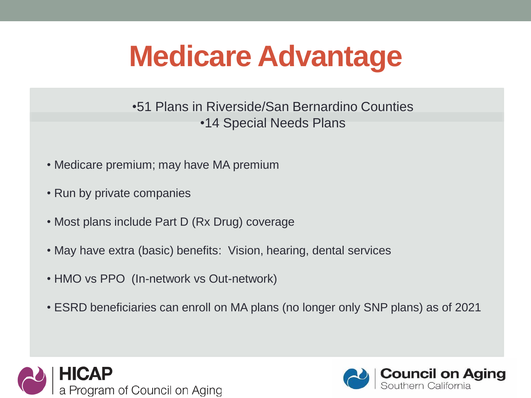# **Medicare Advantage**

•51 Plans in Riverside/San Bernardino Counties •14 Special Needs Plans

- Medicare premium; may have MA premium
- Run by private companies
- Most plans include Part D (Rx Drug) coverage
- May have extra (basic) benefits: Vision, hearing, dental services
- HMO vs PPO (In-network vs Out-network)
- ESRD beneficiaries can enroll on MA plans (no longer only SNP plans) as of 2021



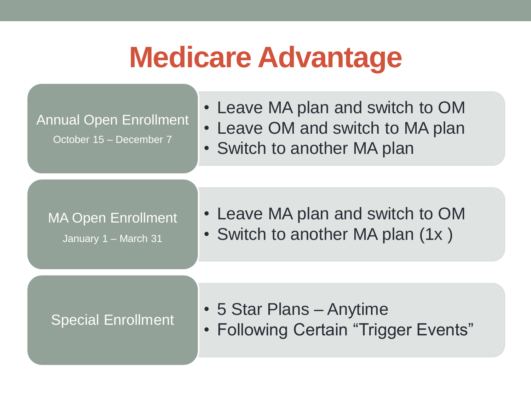### **Medicare Advantage**

Annual Open Enrollment

October 15 – December 7

- Leave MA plan and switch to OM
- Leave OM and switch to MA plan
- Switch to another MA plan

MA Open Enrollment

January 1 – March 31

- Leave MA plan and switch to OM
- Switch to another MA plan (1x)

- 5 Star Plans Anytime
- Special Enrollment | Following Certain "Trigger Events"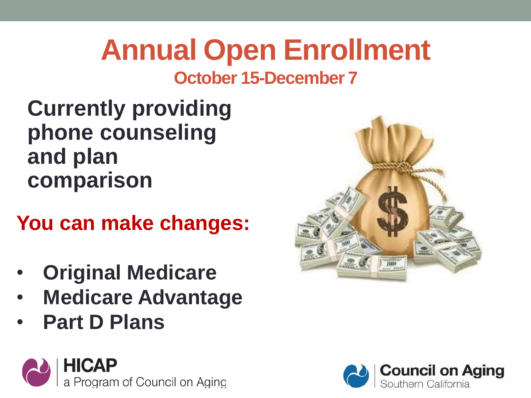# **Annual Open Enrollment**

#### **October 15-December 7**

**Currently providing phone counseling and plan comparison**

**You can make changes:**

- **Original Medicare**
- **Medicare Advantage**
- **Part D Plans**





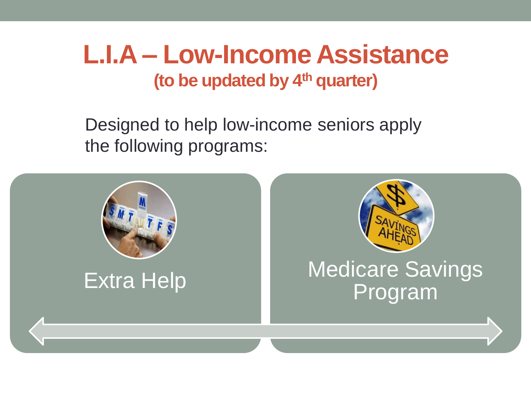### **L.I.A – Low-Income Assistance (to be updated by 4th quarter)**

Designed to help low-income seniors apply the following programs:

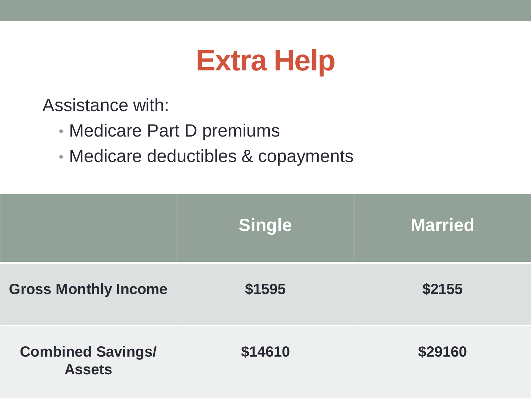# **Extra Help**

Assistance with:

- Medicare Part D premiums
- Medicare deductibles & copayments

|                                           | <b>Single</b> | <b>Married</b> |
|-------------------------------------------|---------------|----------------|
| <b>Gross Monthly Income</b>               | \$1595        | \$2155         |
| <b>Combined Savings/</b><br><b>Assets</b> | \$14610       | \$29160        |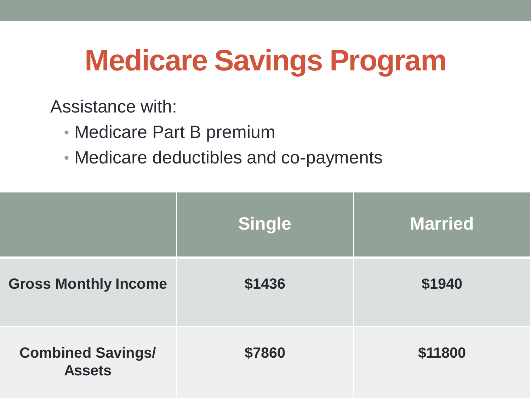# **Medicare Savings Program**

Assistance with:

- Medicare Part B premium
- Medicare deductibles and co-payments

|                                           | <b>Single</b> | <b>Married</b> |
|-------------------------------------------|---------------|----------------|
| <b>Gross Monthly Income</b>               | \$1436        | \$1940         |
| <b>Combined Savings/</b><br><b>Assets</b> | \$7860        | \$11800        |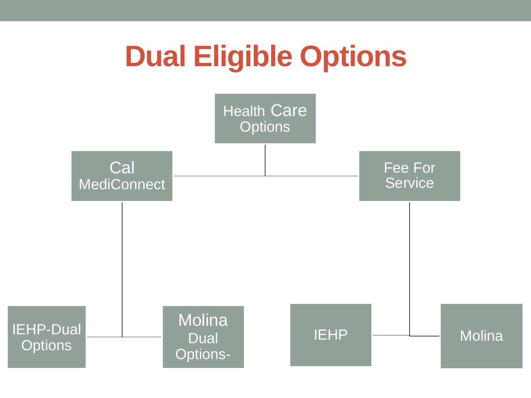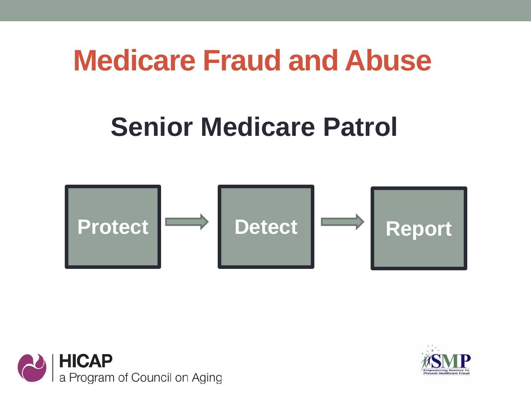### **Medicare Fraud and Abuse**

### **Senior Medicare Patrol**





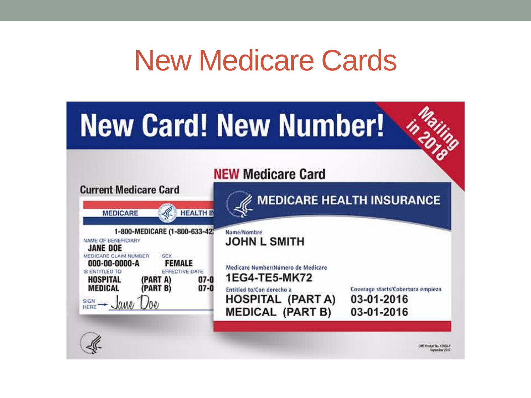## New Medicare Cards

# **New Card! New Number!**

#### **NEW Medicare Card**

In ailing

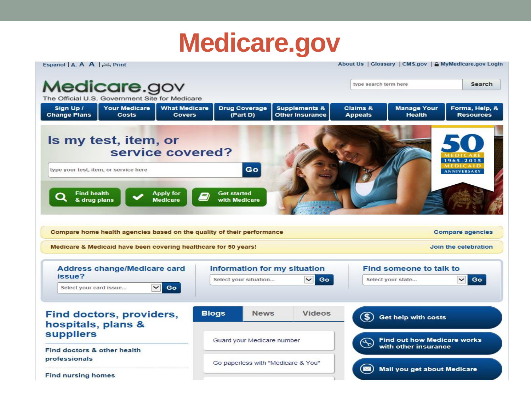### **Medicare.gov**

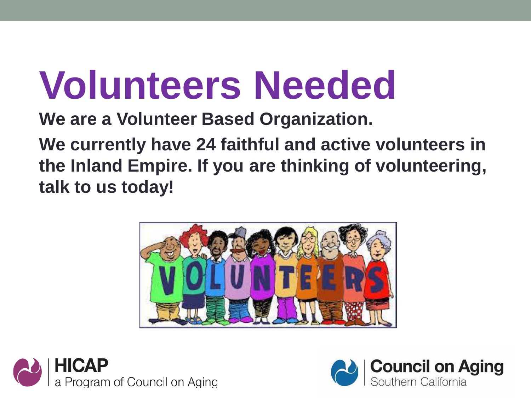# **Volunteers Needed**

**We are a Volunteer Based Organization.**

**We currently have 24 faithful and active volunteers in the Inland Empire. If you are thinking of volunteering, talk to us today!**